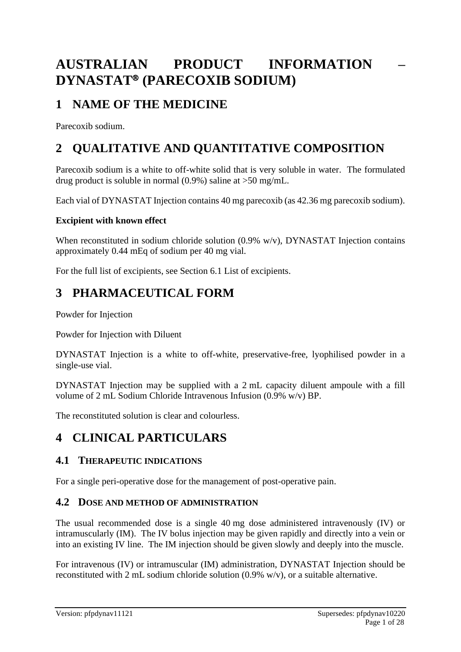# **AUSTRALIAN PRODUCT INFORMATION – DYNASTAT® (PARECOXIB SODIUM)**

# **1 NAME OF THE MEDICINE**

Parecoxib sodium.

# **2 QUALITATIVE AND QUANTITATIVE COMPOSITION**

Parecoxib sodium is a white to off-white solid that is very soluble in water. The formulated drug product is soluble in normal (0.9%) saline at >50 mg/mL.

Each vial of DYNASTAT Injection contains 40 mg parecoxib (as 42.36 mg parecoxib sodium).

### **Excipient with known effect**

When reconstituted in sodium chloride solution (0.9% w/v), DYNASTAT Injection contains approximately 0.44 mEq of sodium per 40 mg vial.

For the full list of excipients, see Section 6.1 List of excipients.

# **3 PHARMACEUTICAL FORM**

Powder for Injection

Powder for Injection with Diluent

DYNASTAT Injection is a white to off-white, preservative-free, lyophilised powder in a single-use vial.

DYNASTAT Injection may be supplied with a 2 mL capacity diluent ampoule with a fill volume of 2 mL Sodium Chloride Intravenous Infusion (0.9% w/v) BP.

The reconstituted solution is clear and colourless.

# **4 CLINICAL PARTICULARS**

# **4.1 THERAPEUTIC INDICATIONS**

For a single peri-operative dose for the management of post-operative pain.

# **4.2 DOSE AND METHOD OF ADMINISTRATION**

The usual recommended dose is a single 40 mg dose administered intravenously (IV) or intramuscularly (IM). The IV bolus injection may be given rapidly and directly into a vein or into an existing IV line. The IM injection should be given slowly and deeply into the muscle.

For intravenous (IV) or intramuscular (IM) administration, DYNASTAT Injection should be reconstituted with 2 mL sodium chloride solution (0.9% w/v), or a suitable alternative.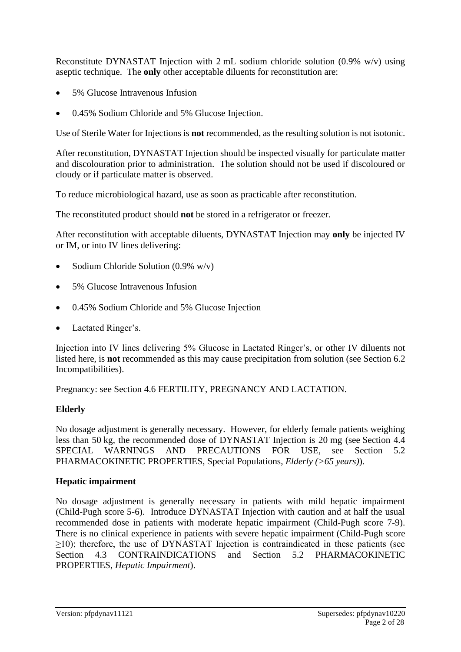Reconstitute DYNASTAT Injection with 2 mL sodium chloride solution (0.9% w/v) using aseptic technique. The **only** other acceptable diluents for reconstitution are:

- 5% Glucose Intravenous Infusion
- 0.45% Sodium Chloride and 5% Glucose Injection.

Use of Sterile Water for Injections is **not** recommended, as the resulting solution is not isotonic.

After reconstitution, DYNASTAT Injection should be inspected visually for particulate matter and discolouration prior to administration. The solution should not be used if discoloured or cloudy or if particulate matter is observed.

To reduce microbiological hazard, use as soon as practicable after reconstitution.

The reconstituted product should **not** be stored in a refrigerator or freezer.

After reconstitution with acceptable diluents, DYNASTAT Injection may **only** be injected IV or IM, or into IV lines delivering:

- Sodium Chloride Solution (0.9% w/v)
- 5% Glucose Intravenous Infusion
- 0.45% Sodium Chloride and 5% Glucose Injection
- Lactated Ringer's.

Injection into IV lines delivering 5% Glucose in Lactated Ringer's, or other IV diluents not listed here, is **not** recommended as this may cause precipitation from solution (see Section 6.2 Incompatibilities).

Pregnancy: see Section 4.6 FERTILITY, PREGNANCY AND LACTATION.

### **Elderly**

No dosage adjustment is generally necessary. However, for elderly female patients weighing less than 50 kg, the recommended dose of DYNASTAT Injection is 20 mg (see Section 4.4 SPECIAL WARNINGS AND PRECAUTIONS FOR USE, see Section 5.2 PHARMACOKINETIC PROPERTIES, Special Populations, *Elderly (>65 years)*).

#### **Hepatic impairment**

No dosage adjustment is generally necessary in patients with mild hepatic impairment (Child-Pugh score 5-6). Introduce DYNASTAT Injection with caution and at half the usual recommended dose in patients with moderate hepatic impairment (Child-Pugh score 7-9). There is no clinical experience in patients with severe hepatic impairment (Child-Pugh score  $\geq$ 10); therefore, the use of DYNASTAT Injection is contraindicated in these patients (see Section 4.3 CONTRAINDICATIONS and Section 5.2 PHARMACOKINETIC PROPERTIES, *Hepatic Impairment*).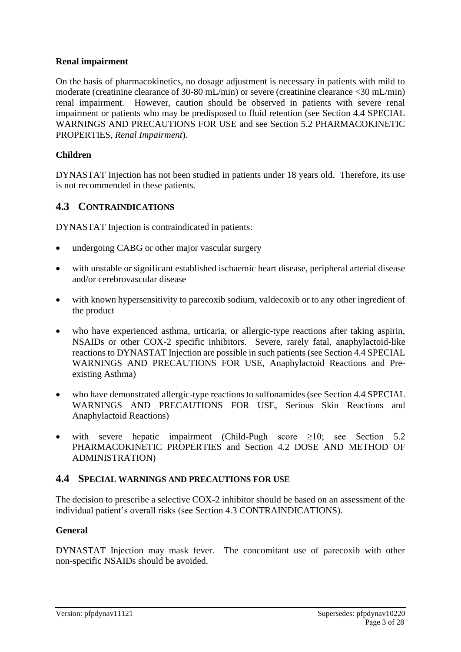## **Renal impairment**

On the basis of pharmacokinetics, no dosage adjustment is necessary in patients with mild to moderate (creatinine clearance of 30-80 mL/min) or severe (creatinine clearance <30 mL/min) renal impairment. However, caution should be observed in patients with severe renal impairment or patients who may be predisposed to fluid retention (see Section 4.4 SPECIAL WARNINGS AND PRECAUTIONS FOR USE and see Section 5.2 PHARMACOKINETIC PROPERTIES, *Renal Impairment*).

## **Children**

DYNASTAT Injection has not been studied in patients under 18 years old. Therefore, its use is not recommended in these patients.

# **4.3 CONTRAINDICATIONS**

DYNASTAT Injection is contraindicated in patients:

- undergoing CABG or other major vascular surgery
- with unstable or significant established ischaemic heart disease, peripheral arterial disease and/or cerebrovascular disease
- with known hypersensitivity to parecoxib sodium, valdecoxib or to any other ingredient of the product
- who have experienced asthma, urticaria, or allergic-type reactions after taking aspirin, NSAIDs or other COX-2 specific inhibitors. Severe, rarely fatal, anaphylactoid-like reactions to DYNASTAT Injection are possible in such patients (see Section 4.4 SPECIAL WARNINGS AND PRECAUTIONS FOR USE, Anaphylactoid Reactions and Preexisting Asthma)
- who have demonstrated allergic-type reactions to sulfonamides (see Section 4.4 SPECIAL WARNINGS AND PRECAUTIONS FOR USE, Serious Skin Reactions and Anaphylactoid Reactions)
- with severe hepatic impairment (Child-Pugh score  $\geq 10$ ; see Section 5.2 PHARMACOKINETIC PROPERTIES and Section 4.2 DOSE AND METHOD OF ADMINISTRATION)

### **4.4 SPECIAL WARNINGS AND PRECAUTIONS FOR USE**

The decision to prescribe a selective COX-2 inhibitor should be based on an assessment of the individual patient's overall risks (see Section 4.3 CONTRAINDICATIONS).

### **General**

DYNASTAT Injection may mask fever. The concomitant use of parecoxib with other non-specific NSAIDs should be avoided.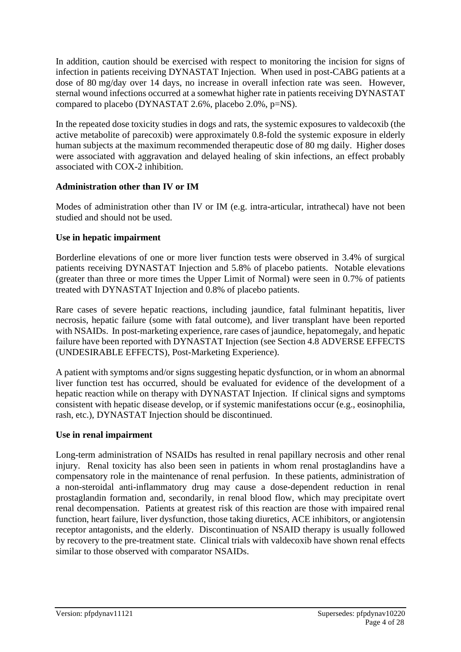In addition, caution should be exercised with respect to monitoring the incision for signs of infection in patients receiving DYNASTAT Injection. When used in post-CABG patients at a dose of 80 mg/day over 14 days, no increase in overall infection rate was seen. However, sternal wound infections occurred at a somewhat higher rate in patients receiving DYNASTAT compared to placebo (DYNASTAT 2.6%, placebo 2.0%, p=NS).

In the repeated dose toxicity studies in dogs and rats, the systemic exposures to valdecoxib (the active metabolite of parecoxib) were approximately 0.8-fold the systemic exposure in elderly human subjects at the maximum recommended therapeutic dose of 80 mg daily. Higher doses were associated with aggravation and delayed healing of skin infections, an effect probably associated with COX-2 inhibition.

# **Administration other than IV or IM**

Modes of administration other than IV or IM (e.g. intra-articular, intrathecal) have not been studied and should not be used.

# **Use in hepatic impairment**

Borderline elevations of one or more liver function tests were observed in 3.4% of surgical patients receiving DYNASTAT Injection and 5.8% of placebo patients. Notable elevations (greater than three or more times the Upper Limit of Normal) were seen in 0.7% of patients treated with DYNASTAT Injection and 0.8% of placebo patients.

Rare cases of severe hepatic reactions, including jaundice, fatal fulminant hepatitis, liver necrosis, hepatic failure (some with fatal outcome), and liver transplant have been reported with NSAIDs. In post-marketing experience, rare cases of jaundice, hepatomegaly, and hepatic failure have been reported with DYNASTAT Injection (see Section 4.8 ADVERSE EFFECTS (UNDESIRABLE EFFECTS), Post-Marketing Experience).

A patient with symptoms and/or signs suggesting hepatic dysfunction, or in whom an abnormal liver function test has occurred, should be evaluated for evidence of the development of a hepatic reaction while on therapy with DYNASTAT Injection. If clinical signs and symptoms consistent with hepatic disease develop, or if systemic manifestations occur (e.g., eosinophilia, rash, etc.), DYNASTAT Injection should be discontinued.

# **Use in renal impairment**

Long-term administration of NSAIDs has resulted in renal papillary necrosis and other renal injury. Renal toxicity has also been seen in patients in whom renal prostaglandins have a compensatory role in the maintenance of renal perfusion. In these patients, administration of a non-steroidal anti-inflammatory drug may cause a dose-dependent reduction in renal prostaglandin formation and, secondarily, in renal blood flow, which may precipitate overt renal decompensation. Patients at greatest risk of this reaction are those with impaired renal function, heart failure, liver dysfunction, those taking diuretics, ACE inhibitors, or angiotensin receptor antagonists, and the elderly. Discontinuation of NSAID therapy is usually followed by recovery to the pre-treatment state. Clinical trials with valdecoxib have shown renal effects similar to those observed with comparator NSAIDs.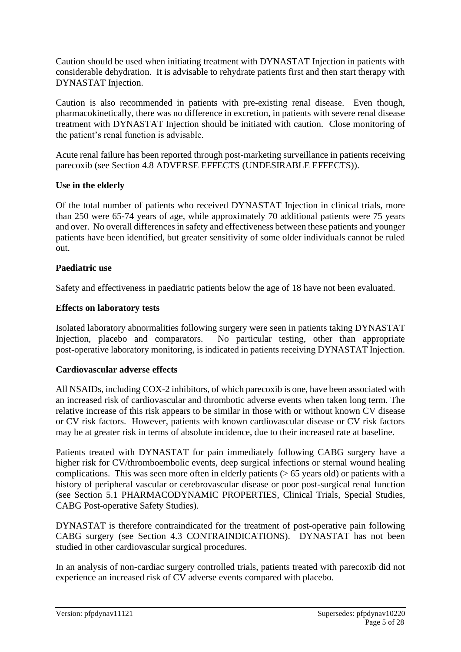Caution should be used when initiating treatment with DYNASTAT Injection in patients with considerable dehydration. It is advisable to rehydrate patients first and then start therapy with DYNASTAT Injection.

Caution is also recommended in patients with pre-existing renal disease. Even though, pharmacokinetically, there was no difference in excretion, in patients with severe renal disease treatment with DYNASTAT Injection should be initiated with caution. Close monitoring of the patient's renal function is advisable.

Acute renal failure has been reported through post-marketing surveillance in patients receiving parecoxib (see Section 4.8 ADVERSE EFFECTS (UNDESIRABLE EFFECTS)).

### **Use in the elderly**

Of the total number of patients who received DYNASTAT Injection in clinical trials, more than 250 were 65-74 years of age, while approximately 70 additional patients were 75 years and over. No overall differences in safety and effectiveness between these patients and younger patients have been identified, but greater sensitivity of some older individuals cannot be ruled out.

### **Paediatric use**

Safety and effectiveness in paediatric patients below the age of 18 have not been evaluated.

## **Effects on laboratory tests**

Isolated laboratory abnormalities following surgery were seen in patients taking DYNASTAT Injection, placebo and comparators. No particular testing, other than appropriate post-operative laboratory monitoring, is indicated in patients receiving DYNASTAT Injection.

### **Cardiovascular adverse effects**

All NSAIDs, including COX-2 inhibitors, of which parecoxib is one, have been associated with an increased risk of cardiovascular and thrombotic adverse events when taken long term. The relative increase of this risk appears to be similar in those with or without known CV disease or CV risk factors. However, patients with known cardiovascular disease or CV risk factors may be at greater risk in terms of absolute incidence, due to their increased rate at baseline.

Patients treated with DYNASTAT for pain immediately following CABG surgery have a higher risk for CV/thromboembolic events, deep surgical infections or sternal wound healing complications. This was seen more often in elderly patients  $(> 65$  years old) or patients with a history of peripheral vascular or cerebrovascular disease or poor post-surgical renal function (see Section 5.1 PHARMACODYNAMIC PROPERTIES, Clinical Trials, Special Studies, CABG Post-operative Safety Studies).

DYNASTAT is therefore contraindicated for the treatment of post-operative pain following CABG surgery (see Section 4.3 CONTRAINDICATIONS). DYNASTAT has not been studied in other cardiovascular surgical procedures.

In an analysis of non-cardiac surgery controlled trials, patients treated with parecoxib did not experience an increased risk of CV adverse events compared with placebo.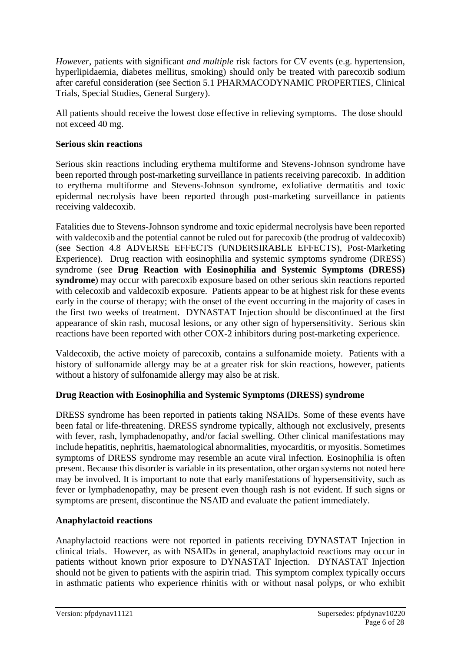*However*, patients with significant *and multiple* risk factors for CV events (e.g. hypertension, hyperlipidaemia, diabetes mellitus, smoking) should only be treated with parecoxib sodium after careful consideration (see Section 5.1 PHARMACODYNAMIC PROPERTIES, Clinical Trials, Special Studies, General Surgery).

All patients should receive the lowest dose effective in relieving symptoms. The dose should not exceed 40 mg.

## **Serious skin reactions**

Serious skin reactions including erythema multiforme and Stevens-Johnson syndrome have been reported through post-marketing surveillance in patients receiving parecoxib. In addition to erythema multiforme and Stevens-Johnson syndrome, exfoliative dermatitis and toxic epidermal necrolysis have been reported through post-marketing surveillance in patients receiving valdecoxib.

Fatalities due to Stevens-Johnson syndrome and toxic epidermal necrolysis have been reported with valdecoxib and the potential cannot be ruled out for parecoxib (the prodrug of valdecoxib) (see Section 4.8 ADVERSE EFFECTS (UNDERSIRABLE EFFECTS), Post-Marketing Experience). Drug reaction with eosinophilia and systemic symptoms syndrome (DRESS) syndrome (see **Drug Reaction with Eosinophilia and Systemic Symptoms (DRESS) syndrome**) may occur with parecoxib exposure based on other serious skin reactions reported with celecoxib and valdecoxib exposure. Patients appear to be at highest risk for these events early in the course of therapy; with the onset of the event occurring in the majority of cases in the first two weeks of treatment. DYNASTAT Injection should be discontinued at the first appearance of skin rash, mucosal lesions, or any other sign of hypersensitivity. Serious skin reactions have been reported with other COX-2 inhibitors during post-marketing experience.

Valdecoxib, the active moiety of parecoxib, contains a sulfonamide moiety. Patients with a history of sulfonamide allergy may be at a greater risk for skin reactions, however, patients without a history of sulfonamide allergy may also be at risk.

# **Drug Reaction with Eosinophilia and Systemic Symptoms (DRESS) syndrome**

DRESS syndrome has been reported in patients taking NSAIDs. Some of these events have been fatal or life-threatening. DRESS syndrome typically, although not exclusively, presents with fever, rash, lymphadenopathy, and/or facial swelling. Other clinical manifestations may include hepatitis, nephritis, haematological abnormalities, myocarditis, or myositis. Sometimes symptoms of DRESS syndrome may resemble an acute viral infection. Eosinophilia is often present. Because this disorder is variable in its presentation, other organ systems not noted here may be involved. It is important to note that early manifestations of hypersensitivity, such as fever or lymphadenopathy, may be present even though rash is not evident. If such signs or symptoms are present, discontinue the NSAID and evaluate the patient immediately.

# **Anaphylactoid reactions**

Anaphylactoid reactions were not reported in patients receiving DYNASTAT Injection in clinical trials. However, as with NSAIDs in general, anaphylactoid reactions may occur in patients without known prior exposure to DYNASTAT Injection. DYNASTAT Injection should not be given to patients with the aspirin triad. This symptom complex typically occurs in asthmatic patients who experience rhinitis with or without nasal polyps, or who exhibit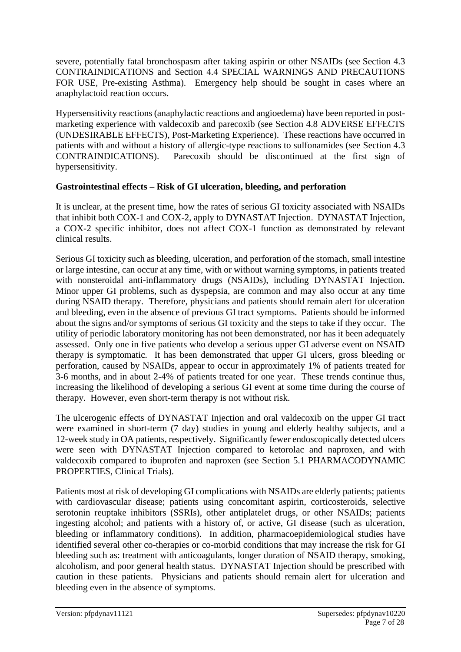severe, potentially fatal bronchospasm after taking aspirin or other NSAIDs (see Section 4.3 CONTRAINDICATIONS and Section 4.4 SPECIAL WARNINGS AND PRECAUTIONS FOR USE, Pre-existing Asthma). Emergency help should be sought in cases where an anaphylactoid reaction occurs.

Hypersensitivity reactions (anaphylactic reactions and angioedema) have been reported in postmarketing experience with valdecoxib and parecoxib (see Section 4.8 ADVERSE EFFECTS (UNDESIRABLE EFFECTS), Post-Marketing Experience). These reactions have occurred in patients with and without a history of allergic-type reactions to sulfonamides (see Section 4.3 CONTRAINDICATIONS). Parecoxib should be discontinued at the first sign of hypersensitivity.

## **Gastrointestinal effects – Risk of GI ulceration, bleeding, and perforation**

It is unclear, at the present time, how the rates of serious GI toxicity associated with NSAIDs that inhibit both COX-1 and COX-2, apply to DYNASTAT Injection. DYNASTAT Injection, a COX-2 specific inhibitor, does not affect COX-1 function as demonstrated by relevant clinical results.

Serious GI toxicity such as bleeding, ulceration, and perforation of the stomach, small intestine or large intestine, can occur at any time, with or without warning symptoms, in patients treated with nonsteroidal anti-inflammatory drugs (NSAIDs), including DYNASTAT Injection. Minor upper GI problems, such as dyspepsia, are common and may also occur at any time during NSAID therapy. Therefore, physicians and patients should remain alert for ulceration and bleeding, even in the absence of previous GI tract symptoms. Patients should be informed about the signs and/or symptoms of serious GI toxicity and the steps to take if they occur. The utility of periodic laboratory monitoring has not been demonstrated, nor has it been adequately assessed. Only one in five patients who develop a serious upper GI adverse event on NSAID therapy is symptomatic. It has been demonstrated that upper GI ulcers, gross bleeding or perforation, caused by NSAIDs, appear to occur in approximately 1% of patients treated for 3-6 months, and in about 2-4% of patients treated for one year. These trends continue thus, increasing the likelihood of developing a serious GI event at some time during the course of therapy. However, even short-term therapy is not without risk.

The ulcerogenic effects of DYNASTAT Injection and oral valdecoxib on the upper GI tract were examined in short-term (7 day) studies in young and elderly healthy subjects, and a 12-week study in OA patients, respectively. Significantly fewer endoscopically detected ulcers were seen with DYNASTAT Injection compared to ketorolac and naproxen, and with valdecoxib compared to ibuprofen and naproxen (see Section 5.1 PHARMACODYNAMIC PROPERTIES, Clinical Trials).

Patients most at risk of developing GI complications with NSAIDs are elderly patients; patients with cardiovascular disease; patients using concomitant aspirin, corticosteroids, selective serotonin reuptake inhibitors (SSRIs), other antiplatelet drugs, or other NSAIDs; patients ingesting alcohol; and patients with a history of, or active, GI disease (such as ulceration, bleeding or inflammatory conditions). In addition, pharmacoepidemiological studies have identified several other co-therapies or co-morbid conditions that may increase the risk for GI bleeding such as: treatment with anticoagulants, longer duration of NSAID therapy, smoking, alcoholism, and poor general health status. DYNASTAT Injection should be prescribed with caution in these patients. Physicians and patients should remain alert for ulceration and bleeding even in the absence of symptoms.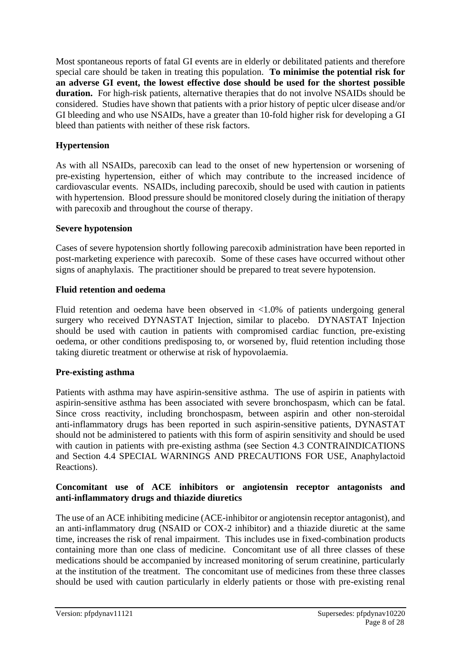Most spontaneous reports of fatal GI events are in elderly or debilitated patients and therefore special care should be taken in treating this population. **To minimise the potential risk for an adverse GI event, the lowest effective dose should be used for the shortest possible duration.** For high-risk patients, alternative therapies that do not involve NSAIDs should be considered. Studies have shown that patients with a prior history of peptic ulcer disease and/or GI bleeding and who use NSAIDs, have a greater than 10-fold higher risk for developing a GI bleed than patients with neither of these risk factors.

# **Hypertension**

As with all NSAIDs, parecoxib can lead to the onset of new hypertension or worsening of pre-existing hypertension, either of which may contribute to the increased incidence of cardiovascular events. NSAIDs, including parecoxib, should be used with caution in patients with hypertension. Blood pressure should be monitored closely during the initiation of therapy with parecoxib and throughout the course of therapy.

## **Severe hypotension**

Cases of severe hypotension shortly following parecoxib administration have been reported in post-marketing experience with parecoxib. Some of these cases have occurred without other signs of anaphylaxis. The practitioner should be prepared to treat severe hypotension.

# **Fluid retention and oedema**

Fluid retention and oedema have been observed in <1.0% of patients undergoing general surgery who received DYNASTAT Injection, similar to placebo. DYNASTAT Injection should be used with caution in patients with compromised cardiac function, pre-existing oedema, or other conditions predisposing to, or worsened by, fluid retention including those taking diuretic treatment or otherwise at risk of hypovolaemia.

# **Pre-existing asthma**

Patients with asthma may have aspirin-sensitive asthma. The use of aspirin in patients with aspirin-sensitive asthma has been associated with severe bronchospasm, which can be fatal. Since cross reactivity, including bronchospasm, between aspirin and other non-steroidal anti-inflammatory drugs has been reported in such aspirin-sensitive patients, DYNASTAT should not be administered to patients with this form of aspirin sensitivity and should be used with caution in patients with pre-existing asthma (see Section 4.3 CONTRAINDICATIONS and Section 4.4 SPECIAL WARNINGS AND PRECAUTIONS FOR USE, Anaphylactoid Reactions).

## **Concomitant use of ACE inhibitors or angiotensin receptor antagonists and anti-inflammatory drugs and thiazide diuretics**

The use of an ACE inhibiting medicine (ACE-inhibitor or angiotensin receptor antagonist), and an anti-inflammatory drug (NSAID or COX-2 inhibitor) and a thiazide diuretic at the same time, increases the risk of renal impairment. This includes use in fixed-combination products containing more than one class of medicine. Concomitant use of all three classes of these medications should be accompanied by increased monitoring of serum creatinine, particularly at the institution of the treatment. The concomitant use of medicines from these three classes should be used with caution particularly in elderly patients or those with pre-existing renal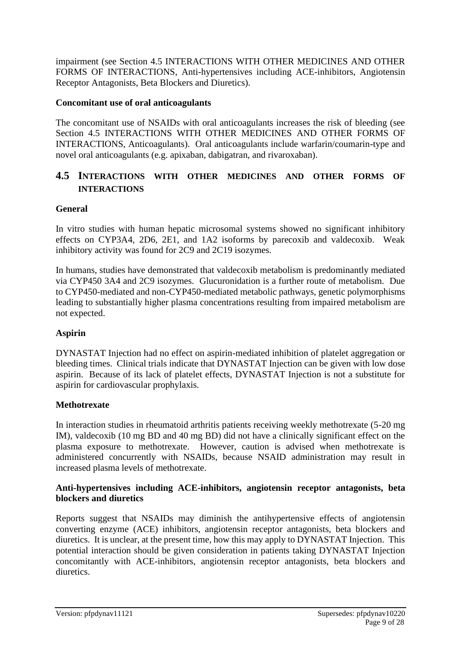impairment (see Section 4.5 INTERACTIONS WITH OTHER MEDICINES AND OTHER FORMS OF INTERACTIONS, Anti-hypertensives including ACE-inhibitors, Angiotensin Receptor Antagonists, Beta Blockers and Diuretics).

## **Concomitant use of oral anticoagulants**

The concomitant use of NSAIDs with oral anticoagulants increases the risk of bleeding (see Section 4.5 INTERACTIONS WITH OTHER MEDICINES AND OTHER FORMS OF INTERACTIONS, Anticoagulants). Oral anticoagulants include warfarin/coumarin-type and novel oral anticoagulants (e.g. apixaban, dabigatran, and rivaroxaban).

# **4.5 INTERACTIONS WITH OTHER MEDICINES AND OTHER FORMS OF INTERACTIONS**

## **General**

In vitro studies with human hepatic microsomal systems showed no significant inhibitory effects on CYP3A4, 2D6, 2E1, and 1A2 isoforms by parecoxib and valdecoxib. Weak inhibitory activity was found for 2C9 and 2C19 isozymes.

In humans, studies have demonstrated that valdecoxib metabolism is predominantly mediated via CYP450 3A4 and 2C9 isozymes. Glucuronidation is a further route of metabolism. Due to CYP450-mediated and non-CYP450-mediated metabolic pathways, genetic polymorphisms leading to substantially higher plasma concentrations resulting from impaired metabolism are not expected.

# **Aspirin**

DYNASTAT Injection had no effect on aspirin-mediated inhibition of platelet aggregation or bleeding times. Clinical trials indicate that DYNASTAT Injection can be given with low dose aspirin. Because of its lack of platelet effects, DYNASTAT Injection is not a substitute for aspirin for cardiovascular prophylaxis.

### **Methotrexate**

In interaction studies in rheumatoid arthritis patients receiving weekly methotrexate (5-20 mg IM), valdecoxib (10 mg BD and 40 mg BD) did not have a clinically significant effect on the plasma exposure to methotrexate. However, caution is advised when methotrexate is administered concurrently with NSAIDs, because NSAID administration may result in increased plasma levels of methotrexate.

### **Anti-hypertensives including ACE-inhibitors, angiotensin receptor antagonists, beta blockers and diuretics**

Reports suggest that NSAIDs may diminish the antihypertensive effects of angiotensin converting enzyme (ACE) inhibitors, angiotensin receptor antagonists, beta blockers and diuretics. It is unclear, at the present time, how this may apply to DYNASTAT Injection. This potential interaction should be given consideration in patients taking DYNASTAT Injection concomitantly with ACE-inhibitors, angiotensin receptor antagonists, beta blockers and diuretics.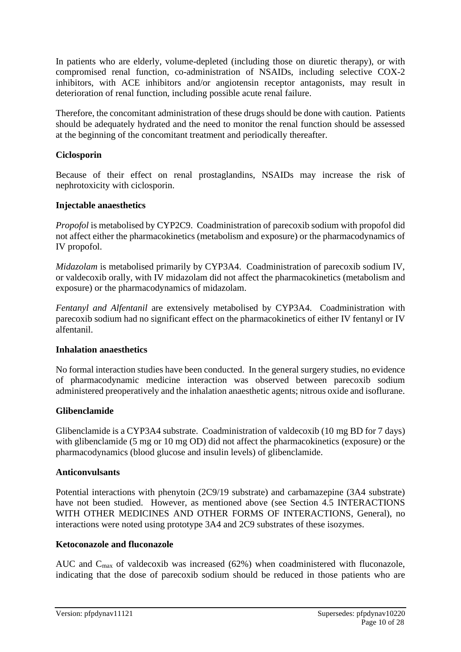In patients who are elderly, volume-depleted (including those on diuretic therapy), or with compromised renal function, co-administration of NSAIDs, including selective COX-2 inhibitors, with ACE inhibitors and/or angiotensin receptor antagonists, may result in deterioration of renal function, including possible acute renal failure.

Therefore, the concomitant administration of these drugs should be done with caution. Patients should be adequately hydrated and the need to monitor the renal function should be assessed at the beginning of the concomitant treatment and periodically thereafter.

## **Ciclosporin**

Because of their effect on renal prostaglandins, NSAIDs may increase the risk of nephrotoxicity with ciclosporin.

### **Injectable anaesthetics**

*Propofol* is metabolised by CYP2C9. Coadministration of parecoxib sodium with propofol did not affect either the pharmacokinetics (metabolism and exposure) or the pharmacodynamics of IV propofol.

*Midazolam* is metabolised primarily by CYP3A4. Coadministration of parecoxib sodium IV, or valdecoxib orally, with IV midazolam did not affect the pharmacokinetics (metabolism and exposure) or the pharmacodynamics of midazolam.

*Fentanyl and Alfentanil* are extensively metabolised by CYP3A4. Coadministration with parecoxib sodium had no significant effect on the pharmacokinetics of either IV fentanyl or IV alfentanil.

### **Inhalation anaesthetics**

No formal interaction studies have been conducted. In the general surgery studies, no evidence of pharmacodynamic medicine interaction was observed between parecoxib sodium administered preoperatively and the inhalation anaesthetic agents; nitrous oxide and isoflurane.

### **Glibenclamide**

Glibenclamide is a CYP3A4 substrate. Coadministration of valdecoxib (10 mg BD for 7 days) with glibenclamide (5 mg or 10 mg OD) did not affect the pharmacokinetics (exposure) or the pharmacodynamics (blood glucose and insulin levels) of glibenclamide.

### **Anticonvulsants**

Potential interactions with phenytoin (2C9/19 substrate) and carbamazepine (3A4 substrate) have not been studied. However, as mentioned above (see Section 4.5 INTERACTIONS WITH OTHER MEDICINES AND OTHER FORMS OF INTERACTIONS, General), no interactions were noted using prototype 3A4 and 2C9 substrates of these isozymes.

### **Ketoconazole and fluconazole**

AUC and  $C_{\text{max}}$  of valdecoxib was increased (62%) when coadministered with fluconazole, indicating that the dose of parecoxib sodium should be reduced in those patients who are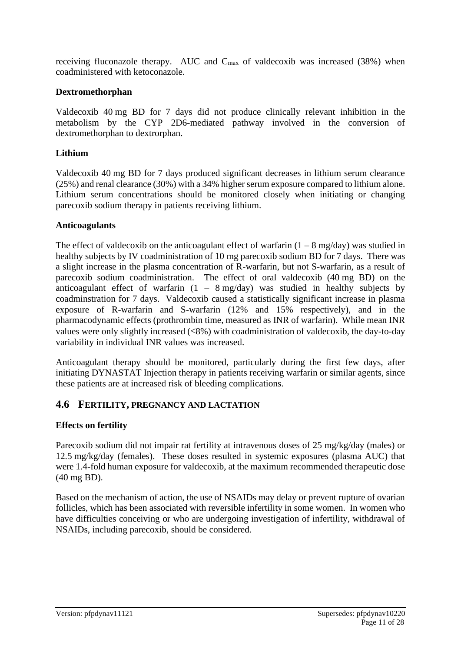receiving fluconazole therapy. AUC and  $C_{\text{max}}$  of valdecoxib was increased (38%) when coadministered with ketoconazole.

## **Dextromethorphan**

Valdecoxib 40 mg BD for 7 days did not produce clinically relevant inhibition in the metabolism by the CYP 2D6-mediated pathway involved in the conversion of dextromethorphan to dextrorphan.

## **Lithium**

Valdecoxib 40 mg BD for 7 days produced significant decreases in lithium serum clearance (25%) and renal clearance (30%) with a 34% higher serum exposure compared to lithium alone. Lithium serum concentrations should be monitored closely when initiating or changing parecoxib sodium therapy in patients receiving lithium.

### **Anticoagulants**

The effect of valdecoxib on the anticoagulant effect of warfarin  $(1 - 8 \text{ mg/day})$  was studied in healthy subjects by IV coadministration of 10 mg parecoxib sodium BD for 7 days. There was a slight increase in the plasma concentration of R-warfarin, but not S-warfarin, as a result of parecoxib sodium coadministration. The effect of oral valdecoxib (40 mg BD) on the anticoagulant effect of warfarin  $(1 - 8 \text{ mg/day})$  was studied in healthy subjects by coadminstration for 7 days. Valdecoxib caused a statistically significant increase in plasma exposure of R-warfarin and S-warfarin (12% and 15% respectively), and in the pharmacodynamic effects (prothrombin time, measured as INR of warfarin). While mean INR values were only slightly increased  $(\leq 8\%)$  with coadministration of valdecoxib, the day-to-day variability in individual INR values was increased.

Anticoagulant therapy should be monitored, particularly during the first few days, after initiating DYNASTAT Injection therapy in patients receiving warfarin or similar agents, since these patients are at increased risk of bleeding complications.

# **4.6 FERTILITY, PREGNANCY AND LACTATION**

# **Effects on fertility**

Parecoxib sodium did not impair rat fertility at intravenous doses of 25 mg/kg/day (males) or 12.5 mg/kg/day (females). These doses resulted in systemic exposures (plasma AUC) that were 1.4-fold human exposure for valdecoxib, at the maximum recommended therapeutic dose (40 mg BD).

Based on the mechanism of action, the use of NSAIDs may delay or prevent rupture of ovarian follicles, which has been associated with reversible infertility in some women. In women who have difficulties conceiving or who are undergoing investigation of infertility, withdrawal of NSAIDs, including parecoxib, should be considered.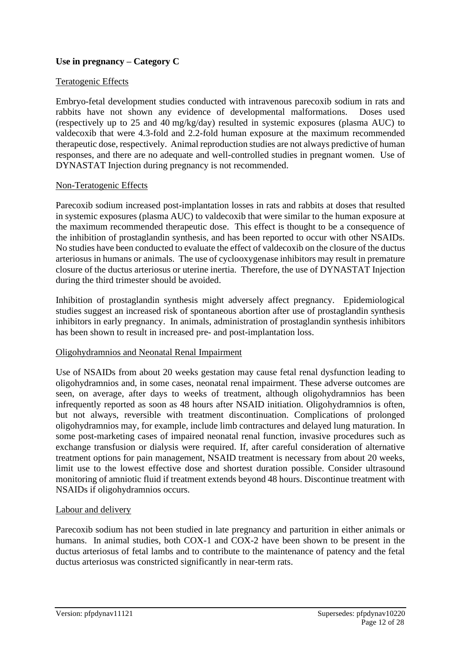# **Use in pregnancy – Category C**

### Teratogenic Effects

Embryo-fetal development studies conducted with intravenous parecoxib sodium in rats and rabbits have not shown any evidence of developmental malformations. Doses used (respectively up to 25 and 40 mg/kg/day) resulted in systemic exposures (plasma AUC) to valdecoxib that were 4.3-fold and 2.2-fold human exposure at the maximum recommended therapeutic dose, respectively. Animal reproduction studies are not always predictive of human responses, and there are no adequate and well-controlled studies in pregnant women. Use of DYNASTAT Injection during pregnancy is not recommended.

### Non-Teratogenic Effects

Parecoxib sodium increased post-implantation losses in rats and rabbits at doses that resulted in systemic exposures (plasma AUC) to valdecoxib that were similar to the human exposure at the maximum recommended therapeutic dose. This effect is thought to be a consequence of the inhibition of prostaglandin synthesis, and has been reported to occur with other NSAIDs. No studies have been conducted to evaluate the effect of valdecoxib on the closure of the ductus arteriosus in humans or animals. The use of cyclooxygenase inhibitors may result in premature closure of the ductus arteriosus or uterine inertia. Therefore, the use of DYNASTAT Injection during the third trimester should be avoided.

Inhibition of prostaglandin synthesis might adversely affect pregnancy. Epidemiological studies suggest an increased risk of spontaneous abortion after use of prostaglandin synthesis inhibitors in early pregnancy. In animals, administration of prostaglandin synthesis inhibitors has been shown to result in increased pre- and post-implantation loss.

### Oligohydramnios and Neonatal Renal Impairment

Use of NSAIDs from about 20 weeks gestation may cause fetal renal dysfunction leading to oligohydramnios and, in some cases, neonatal renal impairment. These adverse outcomes are seen, on average, after days to weeks of treatment, although oligohydramnios has been infrequently reported as soon as 48 hours after NSAID initiation. Oligohydramnios is often, but not always, reversible with treatment discontinuation. Complications of prolonged oligohydramnios may, for example, include limb contractures and delayed lung maturation. In some post-marketing cases of impaired neonatal renal function, invasive procedures such as exchange transfusion or dialysis were required. If, after careful consideration of alternative treatment options for pain management, NSAID treatment is necessary from about 20 weeks, limit use to the lowest effective dose and shortest duration possible. Consider ultrasound monitoring of amniotic fluid if treatment extends beyond 48 hours. Discontinue treatment with NSAIDs if oligohydramnios occurs.

### Labour and delivery

Parecoxib sodium has not been studied in late pregnancy and parturition in either animals or humans. In animal studies, both COX-1 and COX-2 have been shown to be present in the ductus arteriosus of fetal lambs and to contribute to the maintenance of patency and the fetal ductus arteriosus was constricted significantly in near-term rats.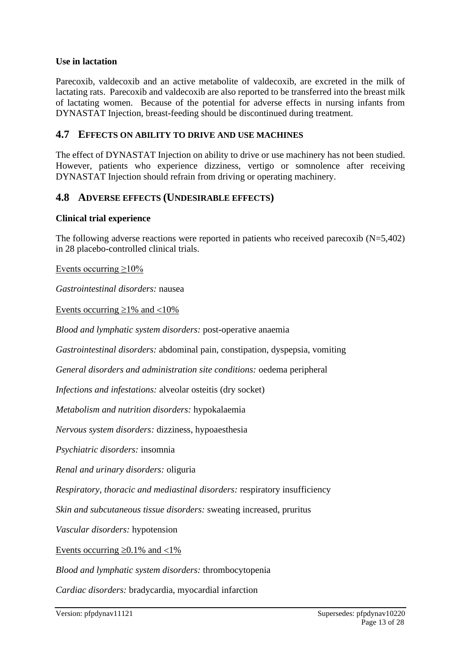## **Use in lactation**

Parecoxib, valdecoxib and an active metabolite of valdecoxib, are excreted in the milk of lactating rats. Parecoxib and valdecoxib are also reported to be transferred into the breast milk of lactating women. Because of the potential for adverse effects in nursing infants from DYNASTAT Injection, breast-feeding should be discontinued during treatment.

## **4.7 EFFECTS ON ABILITY TO DRIVE AND USE MACHINES**

The effect of DYNASTAT Injection on ability to drive or use machinery has not been studied. However, patients who experience dizziness, vertigo or somnolence after receiving DYNASTAT Injection should refrain from driving or operating machinery.

# **4.8 ADVERSE EFFECTS (UNDESIRABLE EFFECTS)**

#### **Clinical trial experience**

The following adverse reactions were reported in patients who received parecoxib (N=5,402) in 28 placebo-controlled clinical trials.

Events occurring ≥10%

*Gastrointestinal disorders:* nausea

Events occurring  $\geq 1\%$  and  $\lt 10\%$ 

*Blood and lymphatic system disorders:* post-operative anaemia

*Gastrointestinal disorders:* abdominal pain, constipation, dyspepsia, vomiting

*General disorders and administration site conditions:* oedema peripheral

*Infections and infestations:* alveolar osteitis (dry socket)

*Metabolism and nutrition disorders:* hypokalaemia

*Nervous system disorders:* dizziness, hypoaesthesia

*Psychiatric disorders:* insomnia

*Renal and urinary disorders:* oliguria

*Respiratory, thoracic and mediastinal disorders:* respiratory insufficiency

*Skin and subcutaneous tissue disorders:* sweating increased, pruritus

*Vascular disorders:* hypotension

Events occurring  $\geq 0.1\%$  and  $\lt 1\%$ 

*Blood and lymphatic system disorders:* thrombocytopenia

*Cardiac disorders:* bradycardia, myocardial infarction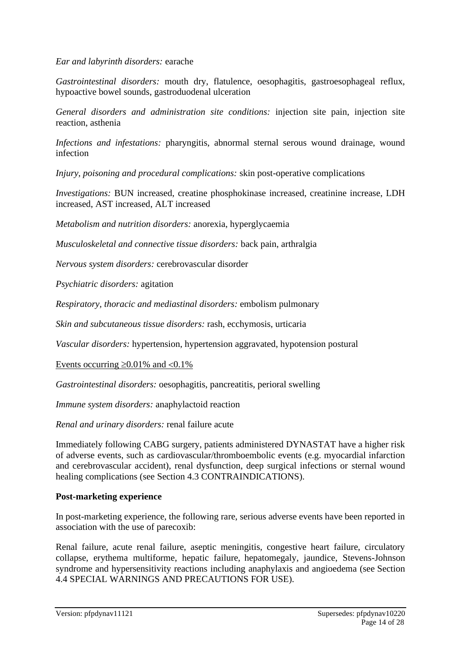### *Ear and labyrinth disorders:* earache

*Gastrointestinal disorders:* mouth dry, flatulence, oesophagitis, gastroesophageal reflux, hypoactive bowel sounds, gastroduodenal ulceration

*General disorders and administration site conditions:* injection site pain, injection site reaction, asthenia

*Infections and infestations:* pharyngitis, abnormal sternal serous wound drainage, wound infection

*Injury, poisoning and procedural complications:* skin post-operative complications

*Investigations:* BUN increased, creatine phosphokinase increased, creatinine increase, LDH increased, AST increased, ALT increased

*Metabolism and nutrition disorders:* anorexia, hyperglycaemia

*Musculoskeletal and connective tissue disorders:* back pain, arthralgia

*Nervous system disorders:* cerebrovascular disorder

*Psychiatric disorders:* agitation

*Respiratory, thoracic and mediastinal disorders:* embolism pulmonary

*Skin and subcutaneous tissue disorders:* rash, ecchymosis, urticaria

*Vascular disorders:* hypertension, hypertension aggravated, hypotension postural

Events occurring  $\geq 0.01\%$  and  $\lt 0.1\%$ 

*Gastrointestinal disorders:* oesophagitis, pancreatitis, perioral swelling

*Immune system disorders:* anaphylactoid reaction

*Renal and urinary disorders:* renal failure acute

Immediately following CABG surgery, patients administered DYNASTAT have a higher risk of adverse events, such as cardiovascular/thromboembolic events (e.g. myocardial infarction and cerebrovascular accident), renal dysfunction, deep surgical infections or sternal wound healing complications (see Section 4.3 CONTRAINDICATIONS).

### **Post-marketing experience**

In post-marketing experience, the following rare, serious adverse events have been reported in association with the use of parecoxib:

Renal failure, acute renal failure, aseptic meningitis, congestive heart failure, circulatory collapse, erythema multiforme, hepatic failure, hepatomegaly, jaundice, Stevens-Johnson syndrome and hypersensitivity reactions including anaphylaxis and angioedema (see Section 4.4 SPECIAL WARNINGS AND PRECAUTIONS FOR USE).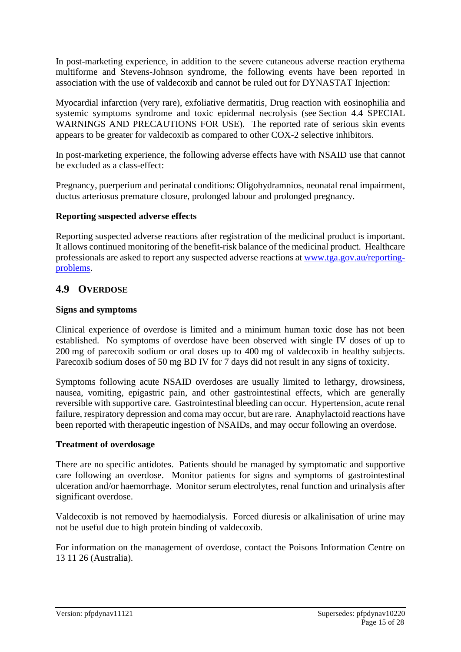In post-marketing experience, in addition to the severe cutaneous adverse reaction erythema multiforme and Stevens-Johnson syndrome, the following events have been reported in association with the use of valdecoxib and cannot be ruled out for DYNASTAT Injection:

Myocardial infarction (very rare), exfoliative dermatitis, Drug reaction with eosinophilia and systemic symptoms syndrome and toxic epidermal necrolysis (see Section 4.4 SPECIAL WARNINGS AND PRECAUTIONS FOR USE). The reported rate of serious skin events appears to be greater for valdecoxib as compared to other COX-2 selective inhibitors.

In post-marketing experience, the following adverse effects have with NSAID use that cannot be excluded as a class-effect:

Pregnancy, puerperium and perinatal conditions: Oligohydramnios, neonatal renal impairment, ductus arteriosus premature closure, prolonged labour and prolonged pregnancy.

## **Reporting suspected adverse effects**

Reporting suspected adverse reactions after registration of the medicinal product is important. It allows continued monitoring of the benefit-risk balance of the medicinal product. Healthcare professionals are asked to report any suspected adverse reactions at [www.tga.gov.au/reporting](http://www.tga.gov.au/reporting-problems)[problems.](http://www.tga.gov.au/reporting-problems)

# **4.9 OVERDOSE**

### **Signs and symptoms**

Clinical experience of overdose is limited and a minimum human toxic dose has not been established. No symptoms of overdose have been observed with single IV doses of up to 200 mg of parecoxib sodium or oral doses up to 400 mg of valdecoxib in healthy subjects. Parecoxib sodium doses of 50 mg BD IV for 7 days did not result in any signs of toxicity.

Symptoms following acute NSAID overdoses are usually limited to lethargy, drowsiness, nausea, vomiting, epigastric pain, and other gastrointestinal effects, which are generally reversible with supportive care. Gastrointestinal bleeding can occur. Hypertension, acute renal failure, respiratory depression and coma may occur, but are rare. Anaphylactoid reactions have been reported with therapeutic ingestion of NSAIDs, and may occur following an overdose.

### **Treatment of overdosage**

There are no specific antidotes. Patients should be managed by symptomatic and supportive care following an overdose. Monitor patients for signs and symptoms of gastrointestinal ulceration and/or haemorrhage. Monitor serum electrolytes, renal function and urinalysis after significant overdose.

Valdecoxib is not removed by haemodialysis. Forced diuresis or alkalinisation of urine may not be useful due to high protein binding of valdecoxib.

For information on the management of overdose, contact the Poisons Information Centre on 13 11 26 (Australia).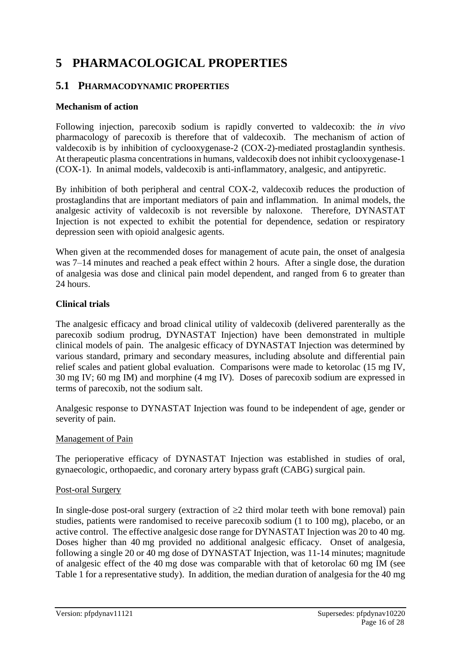# **5 PHARMACOLOGICAL PROPERTIES**

# **5.1 PHARMACODYNAMIC PROPERTIES**

## **Mechanism of action**

Following injection, parecoxib sodium is rapidly converted to valdecoxib: the *in vivo* pharmacology of parecoxib is therefore that of valdecoxib. The mechanism of action of valdecoxib is by inhibition of cyclooxygenase-2 (COX-2)-mediated prostaglandin synthesis. At therapeutic plasma concentrations in humans, valdecoxib does not inhibit cyclooxygenase-1 (COX-1). In animal models, valdecoxib is anti-inflammatory, analgesic, and antipyretic.

By inhibition of both peripheral and central COX-2, valdecoxib reduces the production of prostaglandins that are important mediators of pain and inflammation. In animal models, the analgesic activity of valdecoxib is not reversible by naloxone. Therefore, DYNASTAT Injection is not expected to exhibit the potential for dependence, sedation or respiratory depression seen with opioid analgesic agents.

When given at the recommended doses for management of acute pain, the onset of analgesia was 7–14 minutes and reached a peak effect within 2 hours. After a single dose, the duration of analgesia was dose and clinical pain model dependent, and ranged from 6 to greater than 24 hours.

## **Clinical trials**

The analgesic efficacy and broad clinical utility of valdecoxib (delivered parenterally as the parecoxib sodium prodrug, DYNASTAT Injection) have been demonstrated in multiple clinical models of pain. The analgesic efficacy of DYNASTAT Injection was determined by various standard, primary and secondary measures, including absolute and differential pain relief scales and patient global evaluation. Comparisons were made to ketorolac (15 mg IV, 30 mg IV; 60 mg IM) and morphine (4 mg IV). Doses of parecoxib sodium are expressed in terms of parecoxib, not the sodium salt.

Analgesic response to DYNASTAT Injection was found to be independent of age, gender or severity of pain.

### Management of Pain

The perioperative efficacy of DYNASTAT Injection was established in studies of oral, gynaecologic, orthopaedic, and coronary artery bypass graft (CABG) surgical pain.

### Post-oral Surgery

In single-dose post-oral surgery (extraction of  $\geq 2$  third molar teeth with bone removal) pain studies, patients were randomised to receive parecoxib sodium (1 to 100 mg), placebo, or an active control. The effective analgesic dose range for DYNASTAT Injection was 20 to 40 mg. Doses higher than 40 mg provided no additional analgesic efficacy. Onset of analgesia, following a single 20 or 40 mg dose of DYNASTAT Injection, was 11-14 minutes; magnitude of analgesic effect of the 40 mg dose was comparable with that of ketorolac 60 mg IM (see Table 1 for a representative study). In addition, the median duration of analgesia for the 40 mg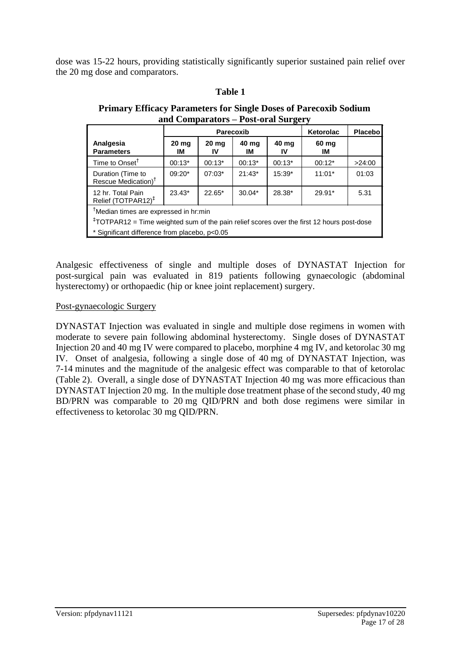dose was 15-22 hours, providing statistically significantly superior sustained pain relief over the 20 mg dose and comparators.

# **Table 1 Table 2**

| <b>Primary Efficacy Parameters for Single Doses of Parecoxib Sodium</b> |
|-------------------------------------------------------------------------|
| and Comparators – Post-oral Surgery                                     |

|                                                                                                                                                                                                             | <b>Parecoxib</b> |             |             |             | Ketorolac   | <b>Placebo</b> |
|-------------------------------------------------------------------------------------------------------------------------------------------------------------------------------------------------------------|------------------|-------------|-------------|-------------|-------------|----------------|
| Analgesia<br><b>Parameters</b>                                                                                                                                                                              | 20 mg<br>ıм      | 20 mg<br>IV | 40 mg<br>ΙM | 40 mg<br>IV | 60 mg<br>IM |                |
| Time to Onset <sup>†</sup>                                                                                                                                                                                  | $00:13*$         | $00:13*$    | $00:13*$    | $00:13*$    | $00:12*$    | >24:00         |
| Duration (Time to<br>Rescue Medication) <sup>†</sup>                                                                                                                                                        | $09:20*$         | $07:03*$    | $21:43*$    | $15:39*$    | $11:01*$    | 01:03          |
| 12 hr. Total Pain<br>Relief (TOTPAR12) <sup>‡</sup>                                                                                                                                                         | $23.43*$         | $22.65*$    | $30.04*$    | 28.38*      | $29.91*$    | 5.31           |
| <sup>†</sup> Median times are expressed in hr:min<br><sup>‡</sup> TOTPAR12 = Time weighted sum of the pain relief scores over the first 12 hours post-dose<br>* Significant difference from placebo, p<0.05 |                  |             |             |             |             |                |

Analgesic effectiveness of single and multiple doses of DYNASTAT Injection for post-surgical pain was evaluated in 819 patients following gynaecologic (abdominal hysterectomy) or orthopaedic (hip or knee joint replacement) surgery.

#### Post-gynaecologic Surgery

DYNASTAT Injection was evaluated in single and multiple dose regimens in women with moderate to severe pain following abdominal hysterectomy. Single doses of DYNASTAT Injection 20 and 40 mg IV were compared to placebo, morphine 4 mg IV, and ketorolac 30 mg IV. Onset of analgesia, following a single dose of 40 mg of DYNASTAT Injection, was 7-14 minutes and the magnitude of the analgesic effect was comparable to that of ketorolac (Table 2). Overall, a single dose of DYNASTAT Injection 40 mg was more efficacious than DYNASTAT Injection 20 mg. In the multiple dose treatment phase of the second study, 40 mg BD/PRN was comparable to 20 mg QID/PRN and both dose regimens were similar in effectiveness to ketorolac 30 mg QID/PRN.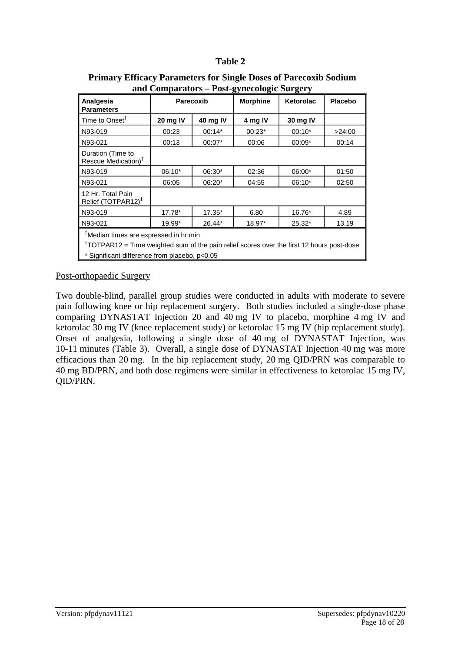# **Table 2 Table 3**

| and Comparators $-1$ ost-gynceologic burgery                                                                                                                                                                |           |          |                 |                  |                |
|-------------------------------------------------------------------------------------------------------------------------------------------------------------------------------------------------------------|-----------|----------|-----------------|------------------|----------------|
| Analgesia<br><b>Parameters</b>                                                                                                                                                                              | Parecoxib |          | <b>Morphine</b> | <b>Ketorolac</b> | <b>Placebo</b> |
| Time to Onset <sup>T</sup>                                                                                                                                                                                  | 20 mg IV  | 40 mg IV | 4 mg IV         | 30 mg IV         |                |
| N93-019                                                                                                                                                                                                     | 00:23     | $00:14*$ | $00:23*$        | $00:10*$         | >24:00         |
| N93-021                                                                                                                                                                                                     | 00:13     | $00:07*$ | 00:06           | $00:09*$         | 00:14          |
| Duration (Time to<br>Rescue Medication) <sup>†</sup>                                                                                                                                                        |           |          |                 |                  |                |
| N93-019                                                                                                                                                                                                     | $06:10*$  | 06:30*   | 02:36           | 06:00*           | 01:50          |
| N93-021                                                                                                                                                                                                     | 06:05     | 06:20*   | 04:55           | $06:10*$         | 02:50          |
| 12 Hr. Total Pain<br>Relief (TOTPAR12) <sup>‡</sup>                                                                                                                                                         |           |          |                 |                  |                |
| N93-019                                                                                                                                                                                                     | 17.78*    | $17.35*$ | 6.80            | 16.76*           | 4.89           |
| N93-021                                                                                                                                                                                                     | 19.99*    | $26.44*$ | 18.97*          | 25.32*           | 13.19          |
| <sup>†</sup> Median times are expressed in hr:min<br><sup>‡</sup> TOTPAR12 = Time weighted sum of the pain relief scores over the first 12 hours post-dose<br>* Significant difference from placebo, p<0.05 |           |          |                 |                  |                |

#### **Primary Efficacy Parameters for Single Doses of Parecoxib Sodium and Comparators – Post-gynecologic Surgery**

Post-orthopaedic Surgery

Two double-blind, parallel group studies were conducted in adults with moderate to severe pain following knee or hip replacement surgery. Both studies included a single-dose phase comparing DYNASTAT Injection 20 and 40 mg IV to placebo, morphine 4 mg IV and ketorolac 30 mg IV (knee replacement study) or ketorolac 15 mg IV (hip replacement study). Onset of analgesia, following a single dose of 40 mg of DYNASTAT Injection, was 10-11 minutes (Table 3). Overall, a single dose of DYNASTAT Injection 40 mg was more efficacious than 20 mg. In the hip replacement study, 20 mg QID/PRN was comparable to 40 mg BD/PRN, and both dose regimens were similar in effectiveness to ketorolac 15 mg IV, QID/PRN.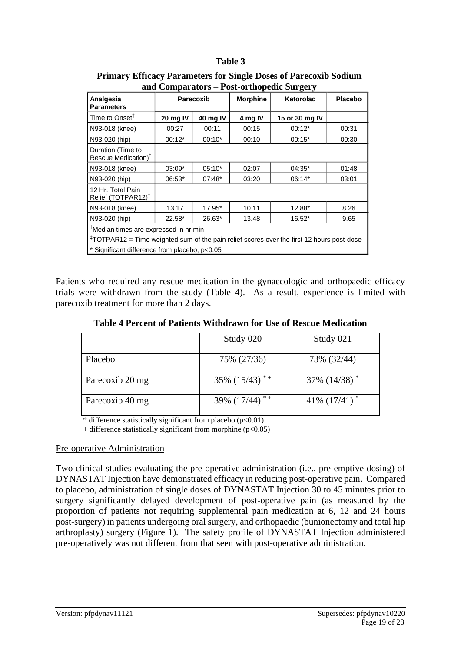# **Table 3**

| <b>Parecoxib</b>                                                                                                                                                                               |          | <b>Morphine</b> | Ketorolac      | <b>Placebo</b> |
|------------------------------------------------------------------------------------------------------------------------------------------------------------------------------------------------|----------|-----------------|----------------|----------------|
| 20 mg IV                                                                                                                                                                                       | 40 mg IV | 4 mg IV         | 15 or 30 mg IV |                |
| 00:27                                                                                                                                                                                          | 00:11    | 00:15           | $00:12*$       | 00:31          |
| $00:12*$                                                                                                                                                                                       | $00:10*$ | 00:10           | $00:15*$       | 00:30          |
|                                                                                                                                                                                                |          |                 |                |                |
| $03:09*$                                                                                                                                                                                       | $05:10*$ | 02:07           | 04:35*         | 01:48          |
| 06:53*                                                                                                                                                                                         | $07:48*$ | 03:20           | 06:14*         | 03:01          |
|                                                                                                                                                                                                |          |                 |                |                |
| 13.17                                                                                                                                                                                          | 17.95*   | 10.11           | 12.88*         | 8.26           |
| 22.58*                                                                                                                                                                                         | 26.63*   | 13.48           | 16.52*         | 9.65           |
| Median times are expressed in hr:min<br><sup>‡</sup> TOTPAR12 = Time weighted sum of the pain relief scores over the first 12 hours post-dose<br>* Significant difference from placebo, p<0.05 |          |                 |                |                |
|                                                                                                                                                                                                |          |                 |                |                |

**Primary Efficacy Parameters for Single Doses of Parecoxib Sodium and Comparators – Post-orthopedic Surgery**

Patients who required any rescue medication in the gynaecologic and orthopaedic efficacy trials were withdrawn from the study (Table 4). As a result, experience is limited with parecoxib treatment for more than 2 days.

**Table 4 Percent of Patients Withdrawn for Use of Rescue Medication**

|                 | Study 020            | Study 021          |
|-----------------|----------------------|--------------------|
| Placebo         | 75% (27/36)          | 73% (32/44)        |
| Parecoxib 20 mg | $35\%$ $(15/43)^{*}$ | $37\%$ $(14/38)^*$ |
| Parecoxib 40 mg | 39% $(17/44)^{*}$    | 41\% $(17/41)$ *   |

\* difference statistically significant from placebo  $(p<0.01)$ 

+ difference statistically significant from morphine  $(p<0.05)$ 

### Pre-operative Administration

Two clinical studies evaluating the pre-operative administration (i.e., pre-emptive dosing) of DYNASTAT Injection have demonstrated efficacy in reducing post-operative pain. Compared to placebo, administration of single doses of DYNASTAT Injection 30 to 45 minutes prior to surgery significantly delayed development of post-operative pain (as measured by the proportion of patients not requiring supplemental pain medication at 6, 12 and 24 hours post-surgery) in patients undergoing oral surgery, and orthopaedic (bunionectomy and total hip arthroplasty) surgery (Figure 1). The safety profile of DYNASTAT Injection administered pre-operatively was not different from that seen with post-operative administration.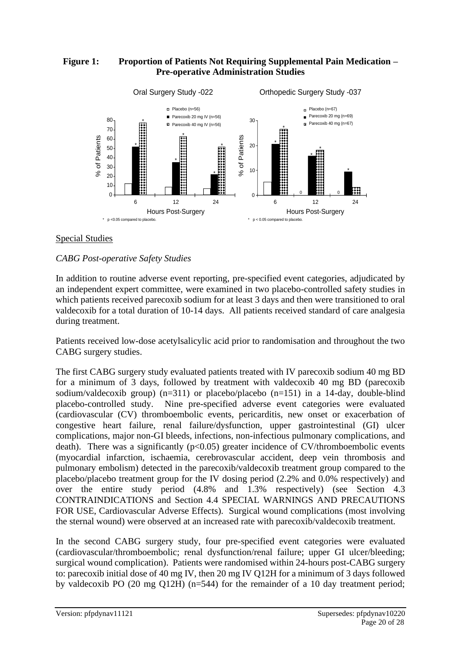## **Figure 1: Proportion of Patients Not Requiring Supplemental Pain Medication – Pre-operative Administration Studies**



## Special Studies

### *CABG Post-operative Safety Studies*

In addition to routine adverse event reporting, pre-specified event categories, adjudicated by an independent expert committee, were examined in two placebo-controlled safety studies in which patients received parecoxib sodium for at least 3 days and then were transitioned to oral valdecoxib for a total duration of 10-14 days. All patients received standard of care analgesia during treatment.

Patients received low-dose acetylsalicylic acid prior to randomisation and throughout the two CABG surgery studies.

The first CABG surgery study evaluated patients treated with IV parecoxib sodium 40 mg BD for a minimum of 3 days, followed by treatment with valdecoxib 40 mg BD (parecoxib sodium/valdecoxib group)  $(n=311)$  or placebo/placebo  $(n=151)$  in a 14-day, double-blind placebo-controlled study. Nine pre-specified adverse event categories were evaluated (cardiovascular (CV) thromboembolic events, pericarditis, new onset or exacerbation of congestive heart failure, renal failure/dysfunction, upper gastrointestinal (GI) ulcer complications, major non-GI bleeds, infections, non-infectious pulmonary complications, and death). There was a significantly  $(p<0.05)$  greater incidence of CV/thromboembolic events (myocardial infarction, ischaemia, cerebrovascular accident, deep vein thrombosis and pulmonary embolism) detected in the parecoxib/valdecoxib treatment group compared to the placebo/placebo treatment group for the IV dosing period (2.2% and 0.0% respectively) and over the entire study period (4.8% and 1.3% respectively) (see Section 4.3 CONTRAINDICATIONS and Section 4.4 SPECIAL WARNINGS AND PRECAUTIONS FOR USE, Cardiovascular Adverse Effects). Surgical wound complications (most involving the sternal wound) were observed at an increased rate with parecoxib/valdecoxib treatment. By value of a the remainder of a state of a state of a state of a state of a 10 day is a state of a 10 day is a state of a 10 day of the remainder of a 10 day treatment period of a 10 day treatment period of a 10 day trea

In the second CABG surgery study, four pre-specified event categories were evaluated (cardiovascular/thromboembolic; renal dysfunction/renal failure; upper GI ulcer/bleeding; surgical wound complication). Patients were randomised within 24-hours post-CABG surgery to: parecoxib initial dose of 40 mg IV, then 20 mg IV Q12H for a minimum of 3 days followed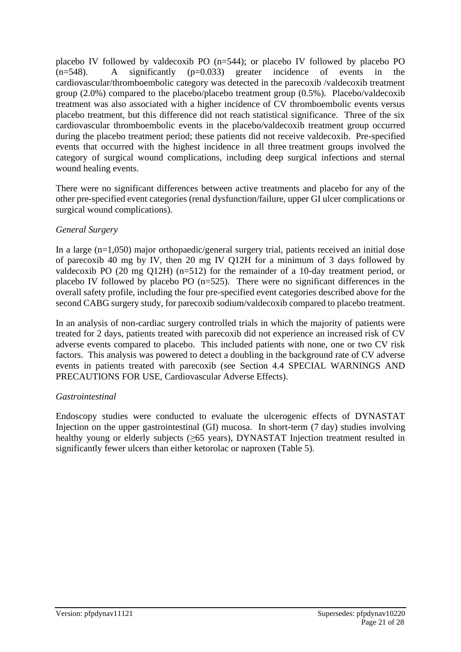placebo IV followed by valdecoxib PO (n=544); or placebo IV followed by placebo PO  $(n=548)$ . A significantly  $(p=0.033)$  greater incidence of events in the cardiovascular/thromboembolic category was detected in the parecoxib /valdecoxib treatment group (2.0%) compared to the placebo/placebo treatment group (0.5%). Placebo/valdecoxib treatment was also associated with a higher incidence of CV thromboembolic events versus placebo treatment, but this difference did not reach statistical significance. Three of the six cardiovascular thromboembolic events in the placebo/valdecoxib treatment group occurred during the placebo treatment period; these patients did not receive valdecoxib. Pre-specified events that occurred with the highest incidence in all three treatment groups involved the category of surgical wound complications, including deep surgical infections and sternal wound healing events.

There were no significant differences between active treatments and placebo for any of the other pre-specified event categories (renal dysfunction/failure, upper GI ulcer complications or surgical wound complications).

# *General Surgery*

In a large (n=1,050) major orthopaedic/general surgery trial, patients received an initial dose of parecoxib 40 mg by IV, then 20 mg IV Q12H for a minimum of 3 days followed by valdecoxib PO (20 mg Q12H) (n=512) for the remainder of a 10-day treatment period, or placebo IV followed by placebo PO (n=525). There were no significant differences in the overall safety profile, including the four pre-specified event categories described above for the second CABG surgery study, for parecoxib sodium/valdecoxib compared to placebo treatment.

In an analysis of non-cardiac surgery controlled trials in which the majority of patients were treated for 2 days, patients treated with parecoxib did not experience an increased risk of CV adverse events compared to placebo. This included patients with none, one or two CV risk factors. This analysis was powered to detect a doubling in the background rate of CV adverse events in patients treated with parecoxib (see Section 4.4 SPECIAL WARNINGS AND PRECAUTIONS FOR USE, Cardiovascular Adverse Effects).

# *Gastrointestinal*

Endoscopy studies were conducted to evaluate the ulcerogenic effects of DYNASTAT Injection on the upper gastrointestinal (GI) mucosa. In short-term (7 day) studies involving healthy young or elderly subjects  $(\geq 65$  years), DYNASTAT Injection treatment resulted in significantly fewer ulcers than either ketorolac or naproxen (Table 5).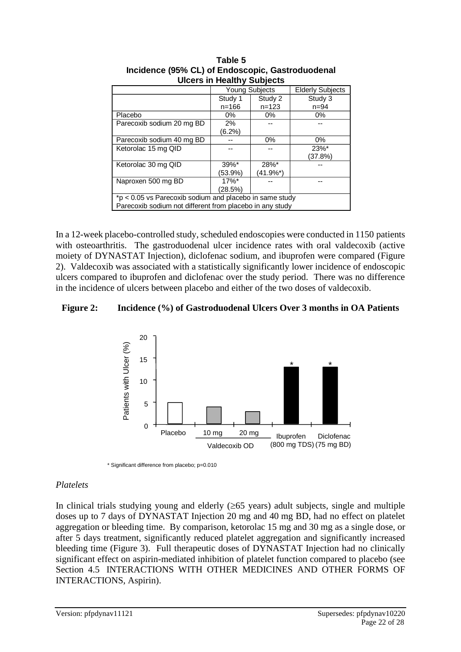| <u>sissis in risailly sabjects</u>                       |                     |                       |                         |  |
|----------------------------------------------------------|---------------------|-----------------------|-------------------------|--|
|                                                          |                     | <b>Young Subjects</b> | <b>Elderly Subjects</b> |  |
|                                                          | Study 1             | Study 2               | Study 3                 |  |
|                                                          | $n = 166$           | $n = 123$             | $n = 94$                |  |
| Placebo                                                  | $0\%$               | $0\%$                 | $0\%$                   |  |
| Parecoxib sodium 20 mg BD                                | 2%                  |                       |                         |  |
|                                                          | $(6.2\%)$           |                       |                         |  |
| Parecoxib sodium 40 mg BD                                |                     | 0%                    | 0%                      |  |
| Ketorolac 15 mg QID                                      |                     |                       | $23%$ *                 |  |
|                                                          |                     |                       | (37.8%)                 |  |
| Ketorolac 30 mg QID                                      | $39\%$ *            | 28%*                  |                         |  |
|                                                          | (53.9%)             | (41.9%*)              |                         |  |
| Naproxen 500 mg BD                                       | $17\%$ <sup>*</sup> |                       |                         |  |
|                                                          | (28.5%)             |                       |                         |  |
| *p < 0.05 vs Parecoxib sodium and placebo in same study  |                     |                       |                         |  |
| Parecoxib sodium not different from placebo in any study |                     |                       |                         |  |
|                                                          |                     |                       |                         |  |

| Table 5                                          |  |  |
|--------------------------------------------------|--|--|
| Incidence (95% CL) of Endoscopic, Gastroduodenal |  |  |
| <b>Ulcers in Healthy Subjects</b>                |  |  |
|                                                  |  |  |

In a 12-week placebo-controlled study, scheduled endoscopies were conducted in 1150 patients with osteoarthritis. The gastroduodenal ulcer incidence rates with oral valdecoxib (active moiety of DYNASTAT Injection), diclofenac sodium, and ibuprofen were compared (Figure 2). Valdecoxib was associated with a statistically significantly lower incidence of endoscopic ulcers compared to ibuprofen and diclofenac over the study period. There was no difference in the incidence of ulcers between placebo and either of the two doses of valdecoxib.

### **Figure 2: Incidence (%) of Gastroduodenal Ulcers Over 3 months in OA Patients**



### *Platelets*

In clinical trials studying young and elderly  $(\geq 65$  years) adult subjects, single and multiple doses up to 7 days of DYNASTAT Injection 20 mg and 40 mg BD, had no effect on platelet aggregation or bleeding time. By comparison, ketorolac 15 mg and 30 mg as a single dose, or after 5 days treatment, significantly reduced platelet aggregation and significantly increased bleeding time (Figure 3). Full therapeutic doses of DYNASTAT Injection had no clinically significant effect on aspirin-mediated inhibition of platelet function compared to placebo (see Section 4.5 INTERACTIONS WITH OTHER MEDICINES AND OTHER FORMS OF INTERACTIONS, Aspirin).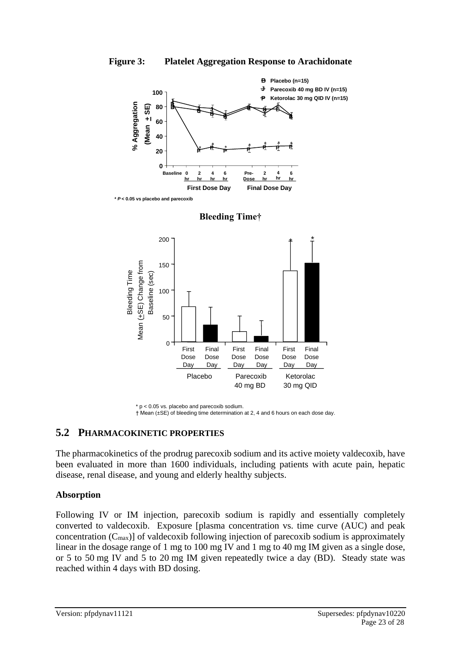





 $\overline{0}$ 

First Dose Day

# **5.2 PHARMACOKINETIC PROPERTIES**

The pharmacokinetics of the prodrug parecoxib sodium and its active moiety valdecoxib, have been evaluated in more than 1600 individuals, including patients with acute pain, hepatic disease, renal disease, and young and elderly healthy subjects.

Placebo Parecoxib

Final Dose Day

First Dose Day

40 mg BD

Final Dose **Day** 

> Ketorolac 30 mg QID

Final Dose Day

First Dose Day

### **Absorption**

Following IV or IM injection, parecoxib sodium is rapidly and essentially completely converted to valdecoxib. Exposure [plasma concentration vs. time curve (AUC) and peak concentration  $(C_{\text{max}})$  of valdecoxib following injection of parecoxib sodium is approximately linear in the dosage range of 1 mg to 100 mg IV and 1 mg to 40 mg IM given as a single dose, or 5 to 50 mg IV and 5 to 20 mg IM given repeatedly twice a day (BD). Steady state was reached within 4 days with BD dosing.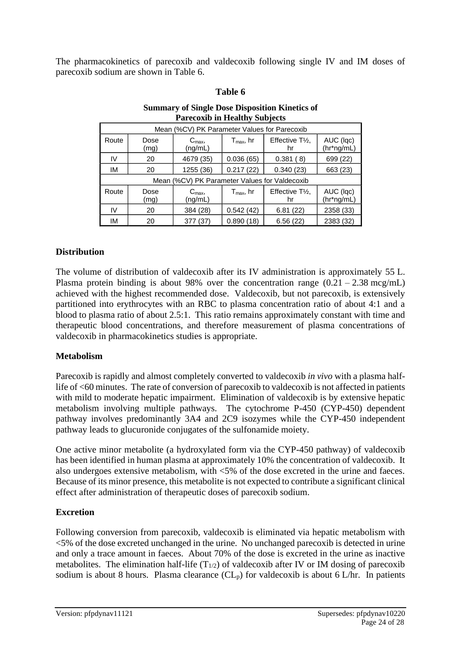The pharmacokinetics of parecoxib and valdecoxib following single IV and IM doses of parecoxib sodium are shown in Table 6.

#### **Table 6 Table 1**

|       | r alecoxid in freatury Subjects               |                                              |                       |                                    |                         |  |
|-------|-----------------------------------------------|----------------------------------------------|-----------------------|------------------------------------|-------------------------|--|
|       |                                               | Mean (%CV) PK Parameter Values for Parecoxib |                       |                                    |                         |  |
| Route | Dose<br>(mg)                                  | $C_{\text{max}}$<br>(ng/mL)                  | $T_{\text{max}}$ , hr | Effective T <sub>1/2</sub> .<br>hr | AUC (Iqc)<br>(hr*ng/mL) |  |
| IV    | 20                                            | 4679 (35)                                    | 0.036(65)             | 0.381(8)                           | 699 (22)                |  |
| IМ    | 20                                            | 1255 (36)                                    | 0.217(22)             | 0.340(23)                          | 663 (23)                |  |
|       | Mean (%CV) PK Parameter Values for Valdecoxib |                                              |                       |                                    |                         |  |
| Route | Dose<br>(mg)                                  | $C_{\text{max}}$<br>(ng/mL)                  | $T_{\text{max}}$ , hr | Effective T <sub>1/2</sub> ,<br>hr | AUC (Iqc)<br>(hr*ng/mL) |  |
| IV    | 20                                            | 384 (28)                                     | 0.542(42)             | 6.81(22)                           | 2358 (33)               |  |
| IМ    | 20                                            | 377 (37)                                     | 0.890(18)             | 6.56(22)                           | 2383 (32)               |  |

# **Summary of Single Dose Disposition Kinetics of**  r<br>**Parecoxib in Healthy Subjects**

# **Distribution**

The volume of distribution of valdecoxib after its IV administration is approximately 55 L. Plasma protein binding is about 98% over the concentration range  $(0.21 - 2.38 \text{~mcg/mL})$ achieved with the highest recommended dose. Valdecoxib, but not parecoxib, is extensively partitioned into erythrocytes with an RBC to plasma concentration ratio of about 4:1 and a blood to plasma ratio of about 2.5:1. This ratio remains approximately constant with time and therapeutic blood concentrations, and therefore measurement of plasma concentrations of valdecoxib in pharmacokinetics studies is appropriate.

# **Metabolism**

Parecoxib is rapidly and almost completely converted to valdecoxib *in vivo* with a plasma halflife of <60 minutes. The rate of conversion of parecoxib to valdecoxib is not affected in patients with mild to moderate hepatic impairment. Elimination of valdecoxib is by extensive hepatic metabolism involving multiple pathways. The cytochrome P-450 (CYP-450) dependent pathway involves predominantly 3A4 and 2C9 isozymes while the CYP-450 independent pathway leads to glucuronide conjugates of the sulfonamide moiety.

One active minor metabolite (a hydroxylated form via the CYP-450 pathway) of valdecoxib has been identified in human plasma at approximately 10% the concentration of valdecoxib. It also undergoes extensive metabolism, with <5% of the dose excreted in the urine and faeces. Because of its minor presence, this metabolite is not expected to contribute a significant clinical effect after administration of therapeutic doses of parecoxib sodium.

# **Excretion**

Following conversion from parecoxib, valdecoxib is eliminated via hepatic metabolism with <5% of the dose excreted unchanged in the urine. No unchanged parecoxib is detected in urine and only a trace amount in faeces. About 70% of the dose is excreted in the urine as inactive metabolites. The elimination half-life  $(T_{1/2})$  of valdecoxib after IV or IM dosing of parecoxib sodium is about 8 hours. Plasma clearance  $CL<sub>p</sub>$  for valdecoxib is about 6 L/hr. In patients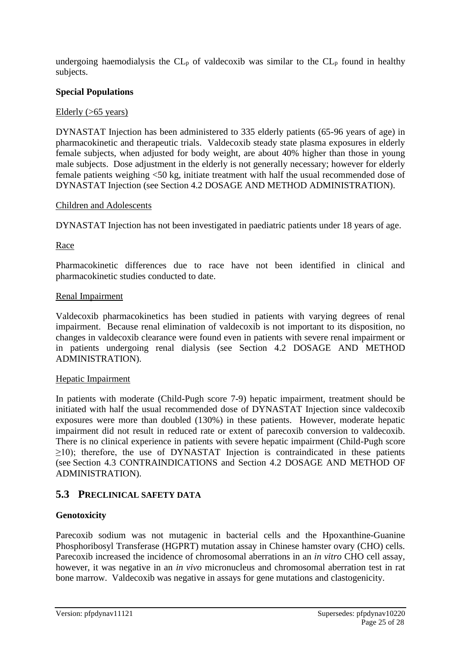undergoing haemodialysis the  $CL<sub>p</sub>$  of valdecoxib was similar to the  $CL<sub>p</sub>$  found in healthy subjects.

## **Special Populations**

## Elderly (>65 years)

DYNASTAT Injection has been administered to 335 elderly patients (65-96 years of age) in pharmacokinetic and therapeutic trials. Valdecoxib steady state plasma exposures in elderly female subjects, when adjusted for body weight, are about 40% higher than those in young male subjects. Dose adjustment in the elderly is not generally necessary; however for elderly female patients weighing <50 kg, initiate treatment with half the usual recommended dose of DYNASTAT Injection (see Section 4.2 DOSAGE AND METHOD ADMINISTRATION).

### Children and Adolescents

DYNASTAT Injection has not been investigated in paediatric patients under 18 years of age.

Race

Pharmacokinetic differences due to race have not been identified in clinical and pharmacokinetic studies conducted to date.

### Renal Impairment

Valdecoxib pharmacokinetics has been studied in patients with varying degrees of renal impairment. Because renal elimination of valdecoxib is not important to its disposition, no changes in valdecoxib clearance were found even in patients with severe renal impairment or in patients undergoing renal dialysis (see Section 4.2 DOSAGE AND METHOD ADMINISTRATION).

# Hepatic Impairment

In patients with moderate (Child-Pugh score 7-9) hepatic impairment, treatment should be initiated with half the usual recommended dose of DYNASTAT Injection since valdecoxib exposures were more than doubled (130%) in these patients. However, moderate hepatic impairment did not result in reduced rate or extent of parecoxib conversion to valdecoxib. There is no clinical experience in patients with severe hepatic impairment (Child-Pugh score  $\geq$ 10); therefore, the use of DYNASTAT Injection is contraindicated in these patients (see Section 4.3 CONTRAINDICATIONS and Section 4.2 DOSAGE AND METHOD OF ADMINISTRATION).

# **5.3 PRECLINICAL SAFETY DATA**

# **Genotoxicity**

Parecoxib sodium was not mutagenic in bacterial cells and the Hpoxanthine-Guanine Phosphoribosyl Transferase (HGPRT) mutation assay in Chinese hamster ovary (CHO) cells. Parecoxib increased the incidence of chromosomal aberrations in an *in vitro* CHO cell assay, however, it was negative in an *in vivo* micronucleus and chromosomal aberration test in rat bone marrow. Valdecoxib was negative in assays for gene mutations and clastogenicity.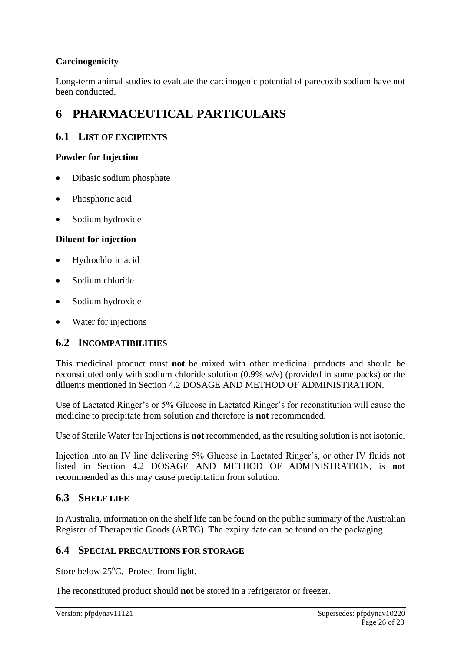# **Carcinogenicity**

Long-term animal studies to evaluate the carcinogenic potential of parecoxib sodium have not been conducted.

# **6 PHARMACEUTICAL PARTICULARS**

# **6.1 LIST OF EXCIPIENTS**

## **Powder for Injection**

- Dibasic sodium phosphate
- Phosphoric acid
- Sodium hydroxide

### **Diluent for injection**

- Hydrochloric acid
- Sodium chloride
- Sodium hydroxide
- Water for injections

# **6.2 INCOMPATIBILITIES**

This medicinal product must **not** be mixed with other medicinal products and should be reconstituted only with sodium chloride solution (0.9% w/v) (provided in some packs) or the diluents mentioned in Section 4.2 DOSAGE AND METHOD OF ADMINISTRATION.

Use of Lactated Ringer's or 5% Glucose in Lactated Ringer's for reconstitution will cause the medicine to precipitate from solution and therefore is **not** recommended.

Use of Sterile Water for Injections is **not** recommended, as the resulting solution is not isotonic.

Injection into an IV line delivering 5% Glucose in Lactated Ringer's, or other IV fluids not listed in Section 4.2 DOSAGE AND METHOD OF ADMINISTRATION, is **not** recommended as this may cause precipitation from solution.

# **6.3 SHELF LIFE**

In Australia, information on the shelf life can be found on the public summary of the Australian Register of Therapeutic Goods (ARTG). The expiry date can be found on the packaging.

# **6.4 SPECIAL PRECAUTIONS FOR STORAGE**

Store below 25°C. Protect from light.

The reconstituted product should **not** be stored in a refrigerator or freezer.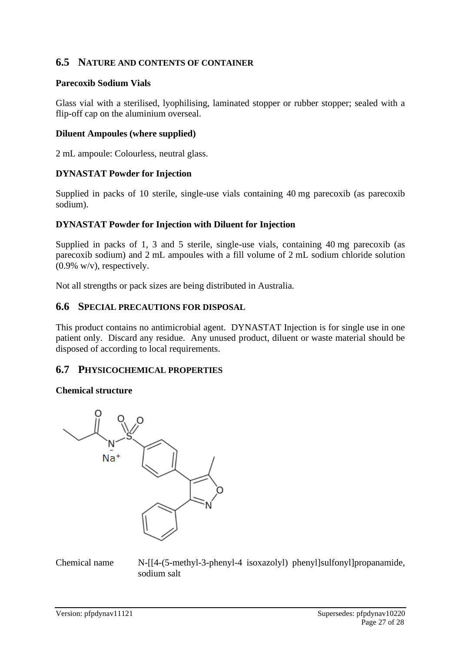# **6.5 NATURE AND CONTENTS OF CONTAINER**

### **Parecoxib Sodium Vials**

Glass vial with a sterilised, lyophilising, laminated stopper or rubber stopper; sealed with a flip-off cap on the aluminium overseal.

#### **Diluent Ampoules (where supplied)**

2 mL ampoule: Colourless, neutral glass.

### **DYNASTAT Powder for Injection**

Supplied in packs of 10 sterile, single-use vials containing 40 mg parecoxib (as parecoxib sodium).

### **DYNASTAT Powder for Injection with Diluent for Injection**

Supplied in packs of 1, 3 and 5 sterile, single-use vials, containing 40 mg parecoxib (as parecoxib sodium) and 2 mL ampoules with a fill volume of 2 mL sodium chloride solution (0.9% w/v), respectively.

Not all strengths or pack sizes are being distributed in Australia.

### **6.6 SPECIAL PRECAUTIONS FOR DISPOSAL**

This product contains no antimicrobial agent. DYNASTAT Injection is for single use in one patient only. Discard any residue. Any unused product, diluent or waste material should be disposed of according to local requirements.

## **6.7 PHYSICOCHEMICAL PROPERTIES**

### **Chemical structure**



Chemical name N-[[4-(5-methyl-3-phenyl-4 isoxazolyl) phenyl]sulfonyl]propanamide, sodium salt